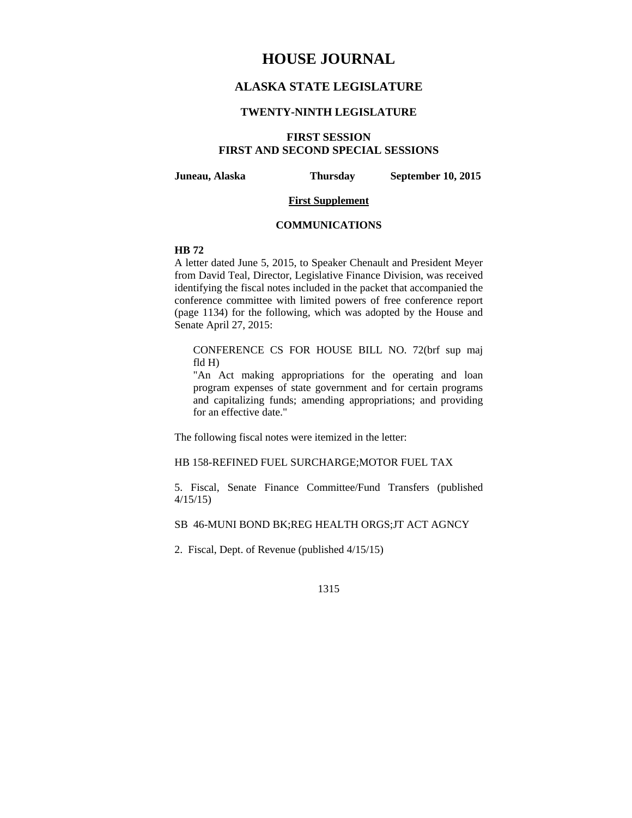# **HOUSE JOURNAL**

## **ALASKA STATE LEGISLATURE**

### **TWENTY-NINTH LEGISLATURE**

## **FIRST SESSION FIRST AND SECOND SPECIAL SESSIONS**

**Juneau, Alaska Thursday September 10, 2015** 

### **First Supplement**

### **COMMUNICATIONS**

## **HB 72**

A letter dated June 5, 2015, to Speaker Chenault and President Meyer from David Teal, Director, Legislative Finance Division, was received identifying the fiscal notes included in the packet that accompanied the conference committee with limited powers of free conference report (page 1134) for the following, which was adopted by the House and Senate April 27, 2015:

CONFERENCE CS FOR HOUSE BILL NO. 72(brf sup maj fld H)

"An Act making appropriations for the operating and loan program expenses of state government and for certain programs and capitalizing funds; amending appropriations; and providing for an effective date."

The following fiscal notes were itemized in the letter:

## HB 158-REFINED FUEL SURCHARGE;MOTOR FUEL TAX

5. Fiscal, Senate Finance Committee/Fund Transfers (published 4/15/15)

SB 46-MUNI BOND BK;REG HEALTH ORGS;JT ACT AGNCY

2. Fiscal, Dept. of Revenue (published 4/15/15)

1315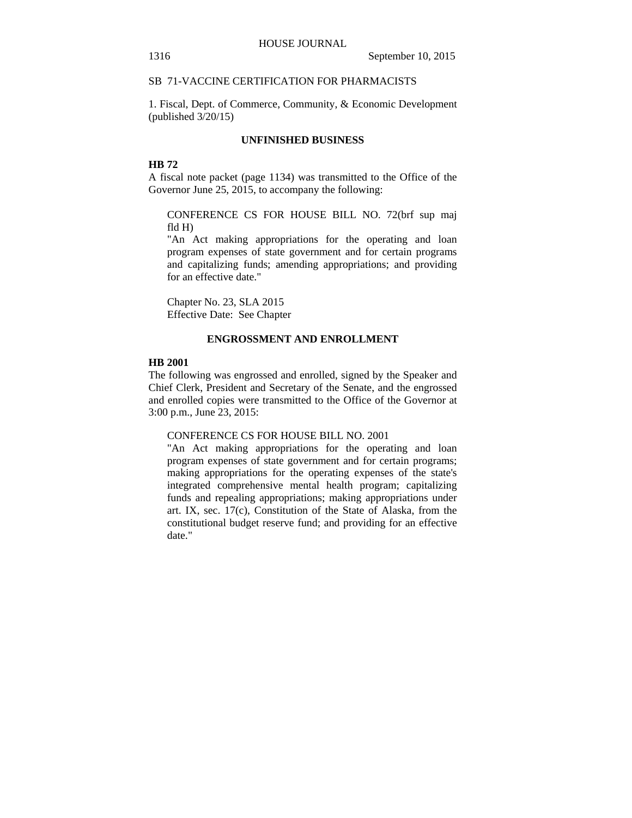## SB 71-VACCINE CERTIFICATION FOR PHARMACISTS

1. Fiscal, Dept. of Commerce, Community, & Economic Development (published 3/20/15)

### **UNFINISHED BUSINESS**

## **HB 72**

A fiscal note packet (page 1134) was transmitted to the Office of the Governor June 25, 2015, to accompany the following:

CONFERENCE CS FOR HOUSE BILL NO. 72(brf sup maj fld H)

"An Act making appropriations for the operating and loan program expenses of state government and for certain programs and capitalizing funds; amending appropriations; and providing for an effective date."

Chapter No. 23, SLA 2015 Effective Date: See Chapter

### **ENGROSSMENT AND ENROLLMENT**

## **HB 2001**

The following was engrossed and enrolled, signed by the Speaker and Chief Clerk, President and Secretary of the Senate, and the engrossed and enrolled copies were transmitted to the Office of the Governor at 3:00 p.m., June 23, 2015:

#### CONFERENCE CS FOR HOUSE BILL NO. 2001

"An Act making appropriations for the operating and loan program expenses of state government and for certain programs; making appropriations for the operating expenses of the state's integrated comprehensive mental health program; capitalizing funds and repealing appropriations; making appropriations under art. IX, sec. 17(c), Constitution of the State of Alaska, from the constitutional budget reserve fund; and providing for an effective date."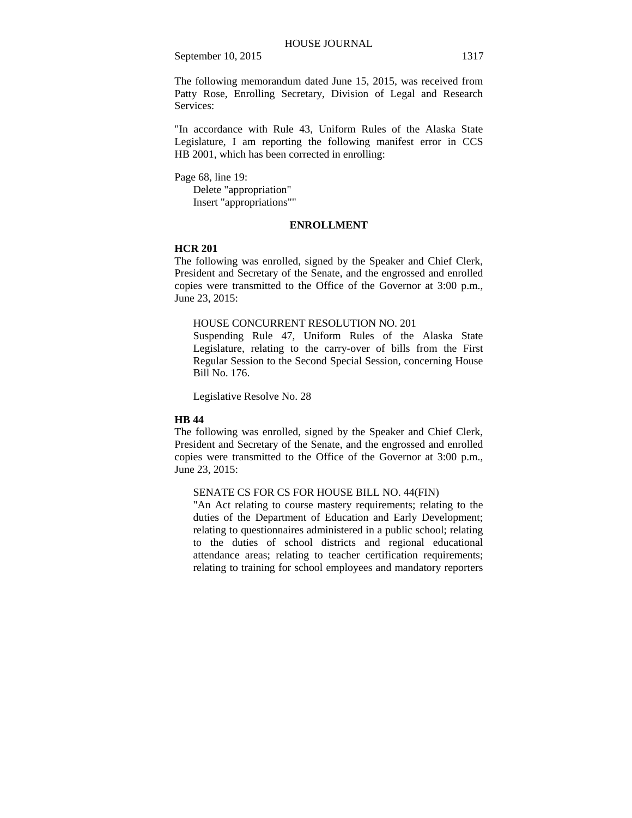The following memorandum dated June 15, 2015, was received from Patty Rose, Enrolling Secretary, Division of Legal and Research Services:

"In accordance with Rule 43, Uniform Rules of the Alaska State Legislature, I am reporting the following manifest error in CCS HB 2001, which has been corrected in enrolling:

Page 68, line 19:

Delete "appropriation" Insert "appropriations""

### **ENROLLMENT**

### **HCR 201**

The following was enrolled, signed by the Speaker and Chief Clerk, President and Secretary of the Senate, and the engrossed and enrolled copies were transmitted to the Office of the Governor at 3:00 p.m., June 23, 2015:

## HOUSE CONCURRENT RESOLUTION NO. 201

Suspending Rule 47, Uniform Rules of the Alaska State Legislature, relating to the carry-over of bills from the First Regular Session to the Second Special Session, concerning House Bill No. 176.

Legislative Resolve No. 28

## **HB 44**

The following was enrolled, signed by the Speaker and Chief Clerk, President and Secretary of the Senate, and the engrossed and enrolled copies were transmitted to the Office of the Governor at 3:00 p.m., June 23, 2015:

### SENATE CS FOR CS FOR HOUSE BILL NO. 44(FIN)

"An Act relating to course mastery requirements; relating to the duties of the Department of Education and Early Development; relating to questionnaires administered in a public school; relating to the duties of school districts and regional educational attendance areas; relating to teacher certification requirements; relating to training for school employees and mandatory reporters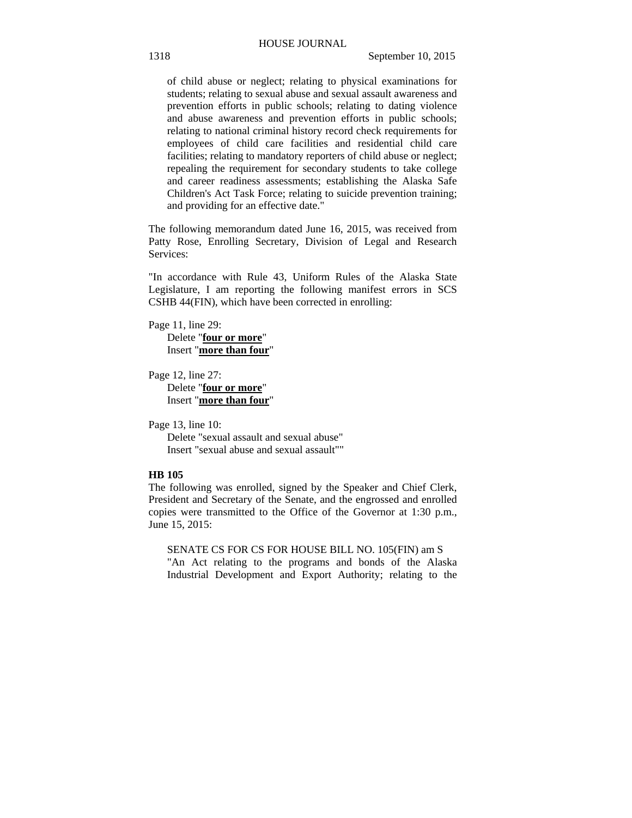of child abuse or neglect; relating to physical examinations for students; relating to sexual abuse and sexual assault awareness and prevention efforts in public schools; relating to dating violence and abuse awareness and prevention efforts in public schools; relating to national criminal history record check requirements for employees of child care facilities and residential child care facilities; relating to mandatory reporters of child abuse or neglect; repealing the requirement for secondary students to take college and career readiness assessments; establishing the Alaska Safe Children's Act Task Force; relating to suicide prevention training; and providing for an effective date."

The following memorandum dated June 16, 2015, was received from Patty Rose, Enrolling Secretary, Division of Legal and Research Services:

"In accordance with Rule 43, Uniform Rules of the Alaska State Legislature, I am reporting the following manifest errors in SCS CSHB 44(FIN), which have been corrected in enrolling:

Page 11, line 29: Delete "**four or more**" Insert "**more than four**"

Page 12, line 27: Delete "**four or more**" Insert "**more than four**"

Page 13, line 10: Delete "sexual assault and sexual abuse" Insert "sexual abuse and sexual assault""

## **HB 105**

The following was enrolled, signed by the Speaker and Chief Clerk, President and Secretary of the Senate, and the engrossed and enrolled copies were transmitted to the Office of the Governor at 1:30 p.m., June 15, 2015:

SENATE CS FOR CS FOR HOUSE BILL NO. 105(FIN) am S "An Act relating to the programs and bonds of the Alaska Industrial Development and Export Authority; relating to the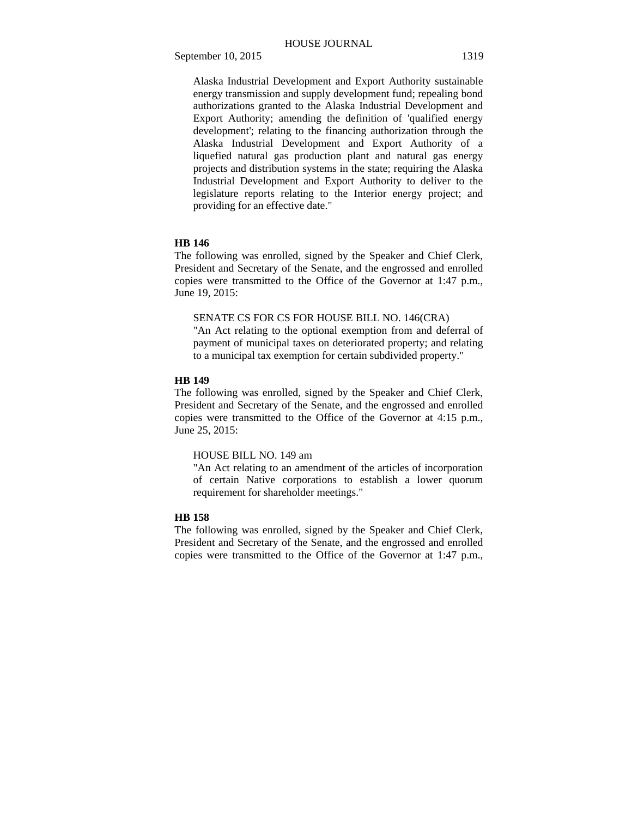Alaska Industrial Development and Export Authority sustainable energy transmission and supply development fund; repealing bond authorizations granted to the Alaska Industrial Development and Export Authority; amending the definition of 'qualified energy development'; relating to the financing authorization through the Alaska Industrial Development and Export Authority of a liquefied natural gas production plant and natural gas energy projects and distribution systems in the state; requiring the Alaska Industrial Development and Export Authority to deliver to the legislature reports relating to the Interior energy project; and providing for an effective date."

## **HB 146**

The following was enrolled, signed by the Speaker and Chief Clerk, President and Secretary of the Senate, and the engrossed and enrolled copies were transmitted to the Office of the Governor at 1:47 p.m., June 19, 2015:

## SENATE CS FOR CS FOR HOUSE BILL NO. 146(CRA)

"An Act relating to the optional exemption from and deferral of payment of municipal taxes on deteriorated property; and relating to a municipal tax exemption for certain subdivided property."

## **HB 149**

The following was enrolled, signed by the Speaker and Chief Clerk, President and Secretary of the Senate, and the engrossed and enrolled copies were transmitted to the Office of the Governor at 4:15 p.m., June 25, 2015:

### HOUSE BILL NO. 149 am

"An Act relating to an amendment of the articles of incorporation of certain Native corporations to establish a lower quorum requirement for shareholder meetings."

### **HB 158**

The following was enrolled, signed by the Speaker and Chief Clerk, President and Secretary of the Senate, and the engrossed and enrolled copies were transmitted to the Office of the Governor at 1:47 p.m.,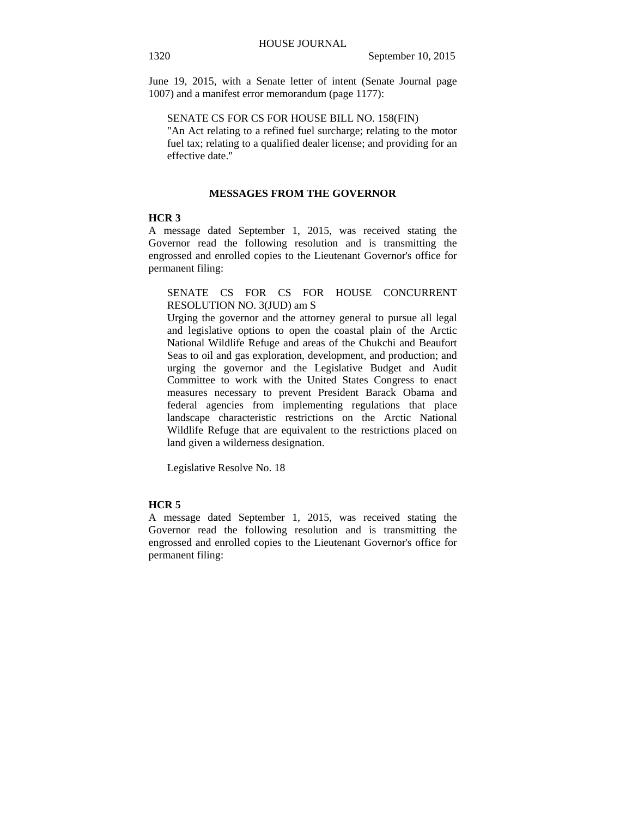June 19, 2015, with a Senate letter of intent (Senate Journal page 1007) and a manifest error memorandum (page 1177):

## SENATE CS FOR CS FOR HOUSE BILL NO. 158(FIN)

"An Act relating to a refined fuel surcharge; relating to the motor fuel tax; relating to a qualified dealer license; and providing for an effective date."

## **MESSAGES FROM THE GOVERNOR**

### **HCR 3**

A message dated September 1, 2015, was received stating the Governor read the following resolution and is transmitting the engrossed and enrolled copies to the Lieutenant Governor's office for permanent filing:

## SENATE CS FOR CS FOR HOUSE CONCURRENT RESOLUTION NO. 3(JUD) am S

Urging the governor and the attorney general to pursue all legal and legislative options to open the coastal plain of the Arctic National Wildlife Refuge and areas of the Chukchi and Beaufort Seas to oil and gas exploration, development, and production; and urging the governor and the Legislative Budget and Audit Committee to work with the United States Congress to enact measures necessary to prevent President Barack Obama and federal agencies from implementing regulations that place landscape characteristic restrictions on the Arctic National Wildlife Refuge that are equivalent to the restrictions placed on land given a wilderness designation.

Legislative Resolve No. 18

## **HCR 5**

A message dated September 1, 2015, was received stating the Governor read the following resolution and is transmitting the engrossed and enrolled copies to the Lieutenant Governor's office for permanent filing: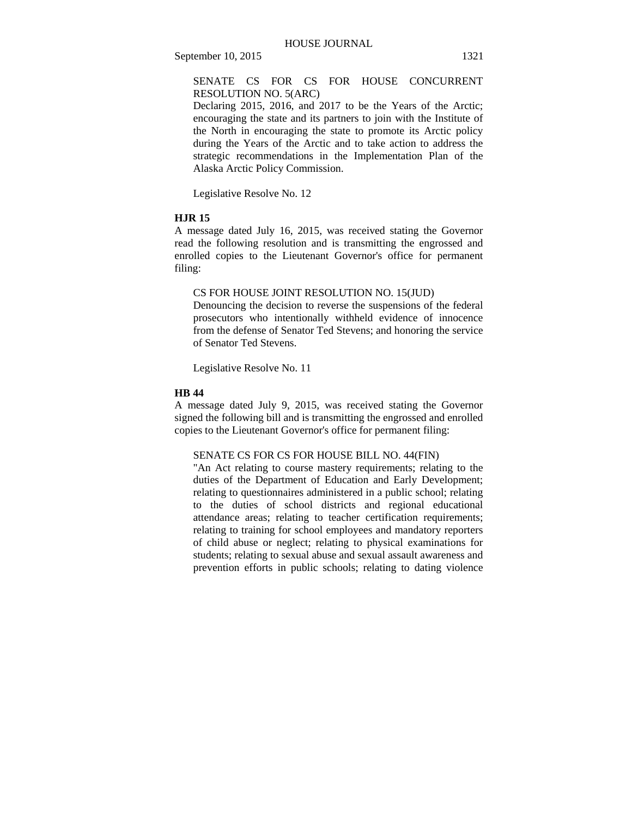SENATE CS FOR CS FOR HOUSE CONCURRENT RESOLUTION NO. 5(ARC)

Declaring 2015, 2016, and 2017 to be the Years of the Arctic; encouraging the state and its partners to join with the Institute of the North in encouraging the state to promote its Arctic policy during the Years of the Arctic and to take action to address the strategic recommendations in the Implementation Plan of the Alaska Arctic Policy Commission.

Legislative Resolve No. 12

#### **HJR 15**

A message dated July 16, 2015, was received stating the Governor read the following resolution and is transmitting the engrossed and enrolled copies to the Lieutenant Governor's office for permanent filing:

### CS FOR HOUSE JOINT RESOLUTION NO. 15(JUD)

Denouncing the decision to reverse the suspensions of the federal prosecutors who intentionally withheld evidence of innocence from the defense of Senator Ted Stevens; and honoring the service of Senator Ted Stevens.

Legislative Resolve No. 11

### **HB 44**

A message dated July 9, 2015, was received stating the Governor signed the following bill and is transmitting the engrossed and enrolled copies to the Lieutenant Governor's office for permanent filing:

## SENATE CS FOR CS FOR HOUSE BILL NO. 44(FIN)

"An Act relating to course mastery requirements; relating to the duties of the Department of Education and Early Development; relating to questionnaires administered in a public school; relating to the duties of school districts and regional educational attendance areas; relating to teacher certification requirements; relating to training for school employees and mandatory reporters of child abuse or neglect; relating to physical examinations for students; relating to sexual abuse and sexual assault awareness and prevention efforts in public schools; relating to dating violence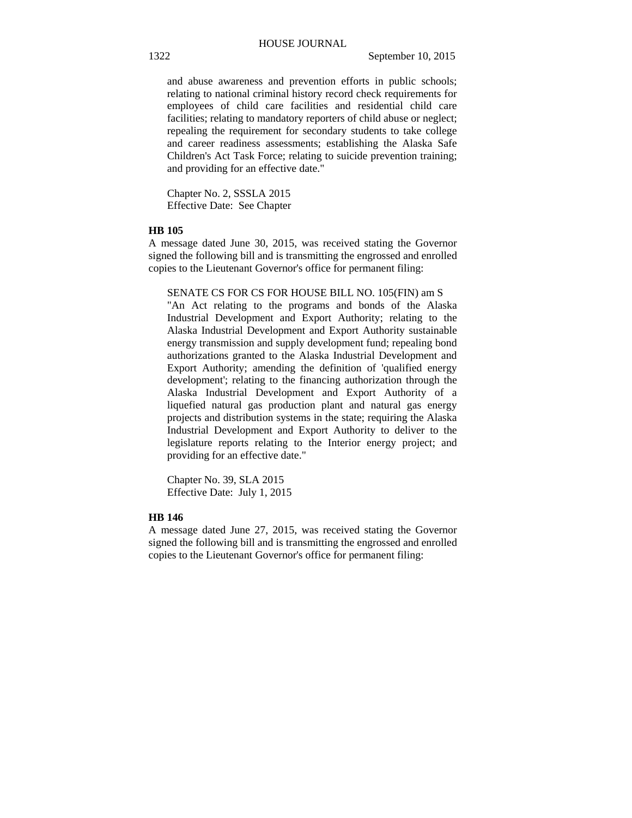and abuse awareness and prevention efforts in public schools; relating to national criminal history record check requirements for employees of child care facilities and residential child care facilities; relating to mandatory reporters of child abuse or neglect; repealing the requirement for secondary students to take college and career readiness assessments; establishing the Alaska Safe Children's Act Task Force; relating to suicide prevention training; and providing for an effective date."

Chapter No. 2, SSSLA 2015 Effective Date: See Chapter

## **HB 105**

A message dated June 30, 2015, was received stating the Governor signed the following bill and is transmitting the engrossed and enrolled copies to the Lieutenant Governor's office for permanent filing:

SENATE CS FOR CS FOR HOUSE BILL NO. 105(FIN) am S

"An Act relating to the programs and bonds of the Alaska Industrial Development and Export Authority; relating to the Alaska Industrial Development and Export Authority sustainable energy transmission and supply development fund; repealing bond authorizations granted to the Alaska Industrial Development and Export Authority; amending the definition of 'qualified energy development'; relating to the financing authorization through the Alaska Industrial Development and Export Authority of a liquefied natural gas production plant and natural gas energy projects and distribution systems in the state; requiring the Alaska Industrial Development and Export Authority to deliver to the legislature reports relating to the Interior energy project; and providing for an effective date."

Chapter No. 39, SLA 2015 Effective Date: July 1, 2015

#### **HB 146**

A message dated June 27, 2015, was received stating the Governor signed the following bill and is transmitting the engrossed and enrolled copies to the Lieutenant Governor's office for permanent filing: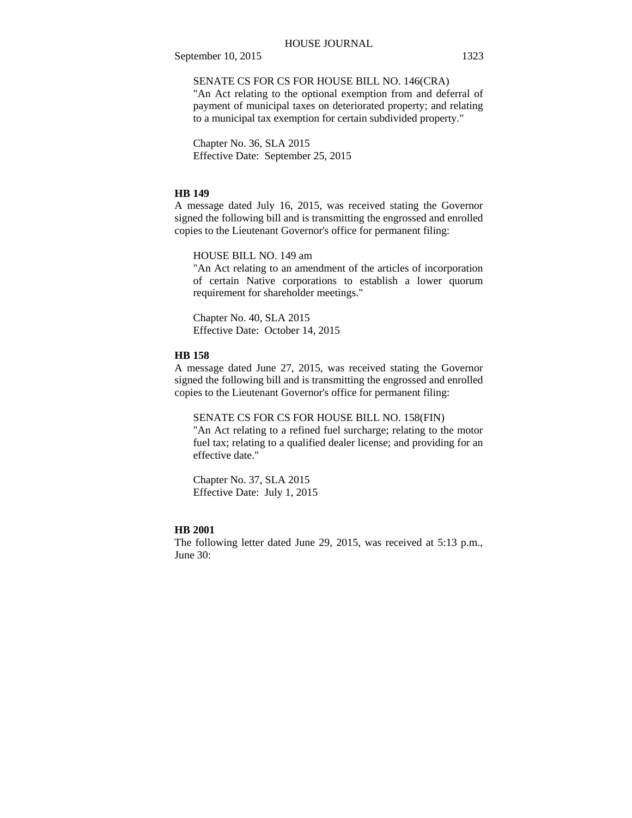## SENATE CS FOR CS FOR HOUSE BILL NO. 146(CRA)

"An Act relating to the optional exemption from and deferral of payment of municipal taxes on deteriorated property; and relating to a municipal tax exemption for certain subdivided property."

Chapter No. 36, SLA 2015 Effective Date: September 25, 2015

### **HB 149**

A message dated July 16, 2015, was received stating the Governor signed the following bill and is transmitting the engrossed and enrolled copies to the Lieutenant Governor's office for permanent filing:

HOUSE BILL NO. 149 am

"An Act relating to an amendment of the articles of incorporation of certain Native corporations to establish a lower quorum requirement for shareholder meetings."

Chapter No. 40, SLA 2015 Effective Date: October 14, 2015

### **HB 158**

A message dated June 27, 2015, was received stating the Governor signed the following bill and is transmitting the engrossed and enrolled copies to the Lieutenant Governor's office for permanent filing:

SENATE CS FOR CS FOR HOUSE BILL NO. 158(FIN)

"An Act relating to a refined fuel surcharge; relating to the motor fuel tax; relating to a qualified dealer license; and providing for an effective date."

Chapter No. 37, SLA 2015 Effective Date: July 1, 2015

## **HB 2001**

The following letter dated June 29, 2015, was received at 5:13 p.m., June 30: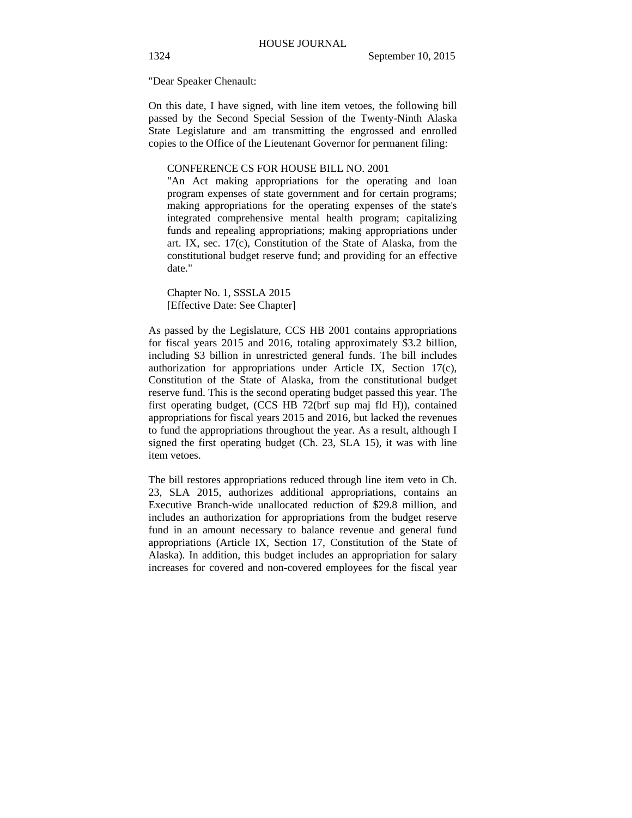"Dear Speaker Chenault:

On this date, I have signed, with line item vetoes, the following bill passed by the Second Special Session of the Twenty-Ninth Alaska State Legislature and am transmitting the engrossed and enrolled copies to the Office of the Lieutenant Governor for permanent filing:

#### CONFERENCE CS FOR HOUSE BILL NO. 2001

"An Act making appropriations for the operating and loan program expenses of state government and for certain programs; making appropriations for the operating expenses of the state's integrated comprehensive mental health program; capitalizing funds and repealing appropriations; making appropriations under art. IX, sec. 17(c), Constitution of the State of Alaska, from the constitutional budget reserve fund; and providing for an effective date."

Chapter No. 1, SSSLA 2015 [Effective Date: See Chapter]

As passed by the Legislature, CCS HB 2001 contains appropriations for fiscal years 2015 and 2016, totaling approximately \$3.2 billion, including \$3 billion in unrestricted general funds. The bill includes authorization for appropriations under Article IX, Section 17(c), Constitution of the State of Alaska, from the constitutional budget reserve fund. This is the second operating budget passed this year. The first operating budget, (CCS HB 72(brf sup maj fld H)), contained appropriations for fiscal years 2015 and 2016, but lacked the revenues to fund the appropriations throughout the year. As a result, although I signed the first operating budget (Ch. 23, SLA 15), it was with line item vetoes.

The bill restores appropriations reduced through line item veto in Ch. 23, SLA 2015, authorizes additional appropriations, contains an Executive Branch-wide unallocated reduction of \$29.8 million, and includes an authorization for appropriations from the budget reserve fund in an amount necessary to balance revenue and general fund appropriations (Article IX, Section 17, Constitution of the State of Alaska). In addition, this budget includes an appropriation for salary increases for covered and non-covered employees for the fiscal year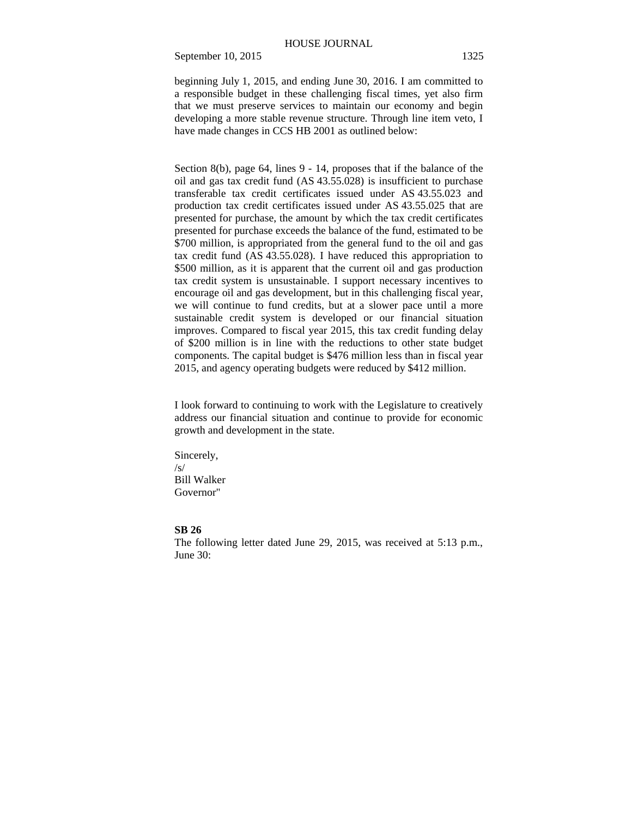beginning July 1, 2015, and ending June 30, 2016. I am committed to a responsible budget in these challenging fiscal times, yet also firm that we must preserve services to maintain our economy and begin developing a more stable revenue structure. Through line item veto, I have made changes in CCS HB 2001 as outlined below:

Section 8(b), page 64, lines 9 - 14, proposes that if the balance of the oil and gas tax credit fund (AS 43.55.028) is insufficient to purchase transferable tax credit certificates issued under AS 43.55.023 and production tax credit certificates issued under AS 43.55.025 that are presented for purchase, the amount by which the tax credit certificates presented for purchase exceeds the balance of the fund, estimated to be \$700 million, is appropriated from the general fund to the oil and gas tax credit fund (AS 43.55.028). I have reduced this appropriation to \$500 million, as it is apparent that the current oil and gas production tax credit system is unsustainable. I support necessary incentives to encourage oil and gas development, but in this challenging fiscal year, we will continue to fund credits, but at a slower pace until a more sustainable credit system is developed or our financial situation improves. Compared to fiscal year 2015, this tax credit funding delay of \$200 million is in line with the reductions to other state budget components. The capital budget is \$476 million less than in fiscal year 2015, and agency operating budgets were reduced by \$412 million.

I look forward to continuing to work with the Legislature to creatively address our financial situation and continue to provide for economic growth and development in the state.

Sincerely,  $\sqrt{S}$ Bill Walker Governor"

### **SB 26**

The following letter dated June 29, 2015, was received at 5:13 p.m., June 30: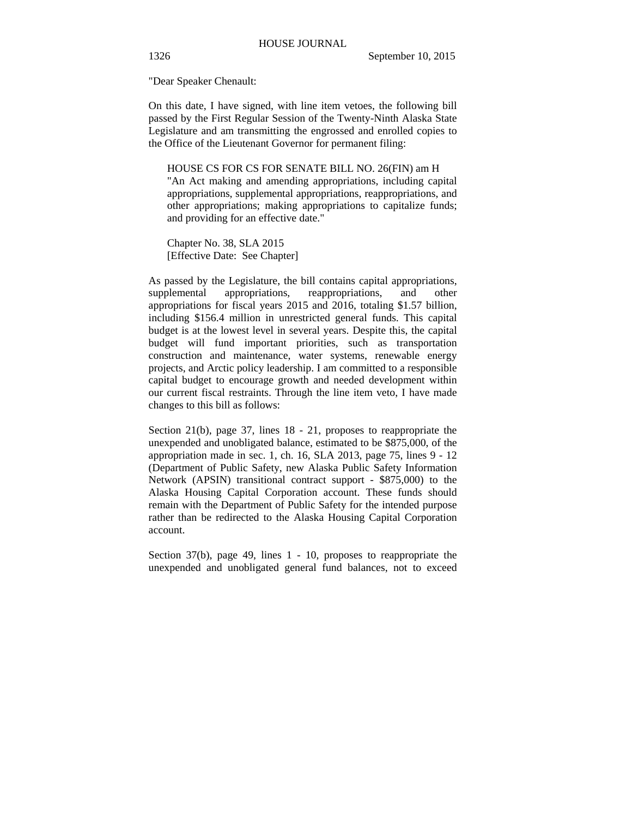"Dear Speaker Chenault:

On this date, I have signed, with line item vetoes, the following bill passed by the First Regular Session of the Twenty-Ninth Alaska State Legislature and am transmitting the engrossed and enrolled copies to the Office of the Lieutenant Governor for permanent filing:

HOUSE CS FOR CS FOR SENATE BILL NO. 26(FIN) am H "An Act making and amending appropriations, including capital appropriations, supplemental appropriations, reappropriations, and other appropriations; making appropriations to capitalize funds; and providing for an effective date."

Chapter No. 38, SLA 2015 [Effective Date: See Chapter]

As passed by the Legislature, the bill contains capital appropriations, supplemental appropriations, reappropriations, and other appropriations for fiscal years 2015 and 2016, totaling \$1.57 billion, including \$156.4 million in unrestricted general funds. This capital budget is at the lowest level in several years. Despite this, the capital budget will fund important priorities, such as transportation construction and maintenance, water systems, renewable energy projects, and Arctic policy leadership. I am committed to a responsible capital budget to encourage growth and needed development within our current fiscal restraints. Through the line item veto, I have made changes to this bill as follows:

Section 21(b), page 37, lines 18 - 21, proposes to reappropriate the unexpended and unobligated balance, estimated to be \$875,000, of the appropriation made in sec. 1, ch. 16, SLA 2013, page 75, lines 9 - 12 (Department of Public Safety, new Alaska Public Safety Information Network (APSIN) transitional contract support - \$875,000) to the Alaska Housing Capital Corporation account. These funds should remain with the Department of Public Safety for the intended purpose rather than be redirected to the Alaska Housing Capital Corporation account.

Section 37(b), page 49, lines 1 - 10, proposes to reappropriate the unexpended and unobligated general fund balances, not to exceed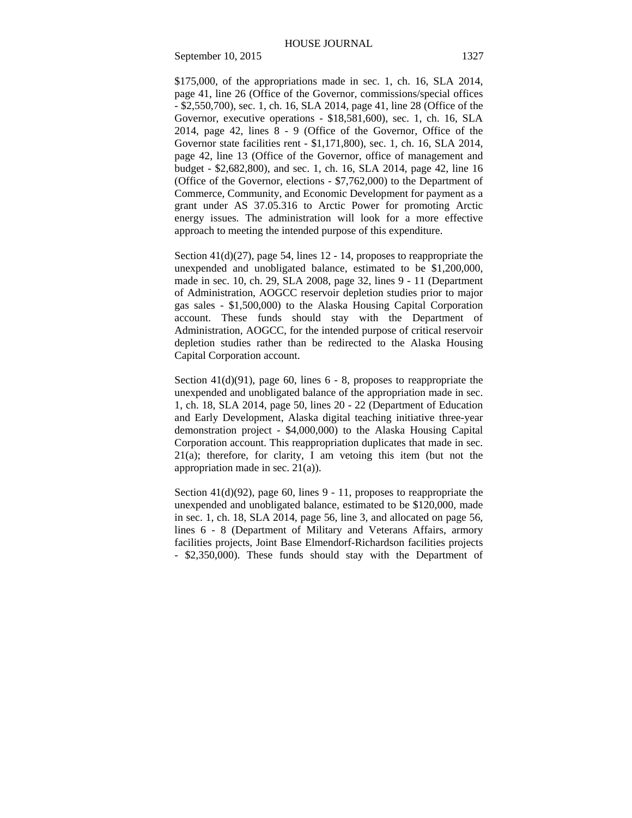\$175,000, of the appropriations made in sec. 1, ch. 16, SLA 2014, page 41, line 26 (Office of the Governor, commissions/special offices - \$2,550,700), sec. 1, ch. 16, SLA 2014, page 41, line 28 (Office of the Governor, executive operations - \$18,581,600), sec. 1, ch. 16, SLA 2014, page 42, lines 8 - 9 (Office of the Governor, Office of the Governor state facilities rent - \$1,171,800), sec. 1, ch. 16, SLA 2014, page 42, line 13 (Office of the Governor, office of management and budget - \$2,682,800), and sec. 1, ch. 16, SLA 2014, page 42, line 16 (Office of the Governor, elections - \$7,762,000) to the Department of Commerce, Community, and Economic Development for payment as a grant under AS 37.05.316 to Arctic Power for promoting Arctic energy issues. The administration will look for a more effective approach to meeting the intended purpose of this expenditure.

Section 41(d)(27), page 54, lines 12 - 14, proposes to reappropriate the unexpended and unobligated balance, estimated to be \$1,200,000, made in sec. 10, ch. 29, SLA 2008, page 32, lines 9 - 11 (Department of Administration, AOGCC reservoir depletion studies prior to major gas sales - \$1,500,000) to the Alaska Housing Capital Corporation account. These funds should stay with the Department of Administration, AOGCC, for the intended purpose of critical reservoir depletion studies rather than be redirected to the Alaska Housing Capital Corporation account.

Section 41(d)(91), page 60, lines 6 - 8, proposes to reappropriate the unexpended and unobligated balance of the appropriation made in sec. 1, ch. 18, SLA 2014, page 50, lines 20 - 22 (Department of Education and Early Development, Alaska digital teaching initiative three-year demonstration project - \$4,000,000) to the Alaska Housing Capital Corporation account. This reappropriation duplicates that made in sec. 21(a); therefore, for clarity, I am vetoing this item (but not the appropriation made in sec. 21(a)).

Section 41(d)(92), page 60, lines 9 - 11, proposes to reappropriate the unexpended and unobligated balance, estimated to be \$120,000, made in sec. 1, ch. 18, SLA 2014, page 56, line 3, and allocated on page 56, lines 6 - 8 (Department of Military and Veterans Affairs, armory facilities projects, Joint Base Elmendorf-Richardson facilities projects - \$2,350,000). These funds should stay with the Department of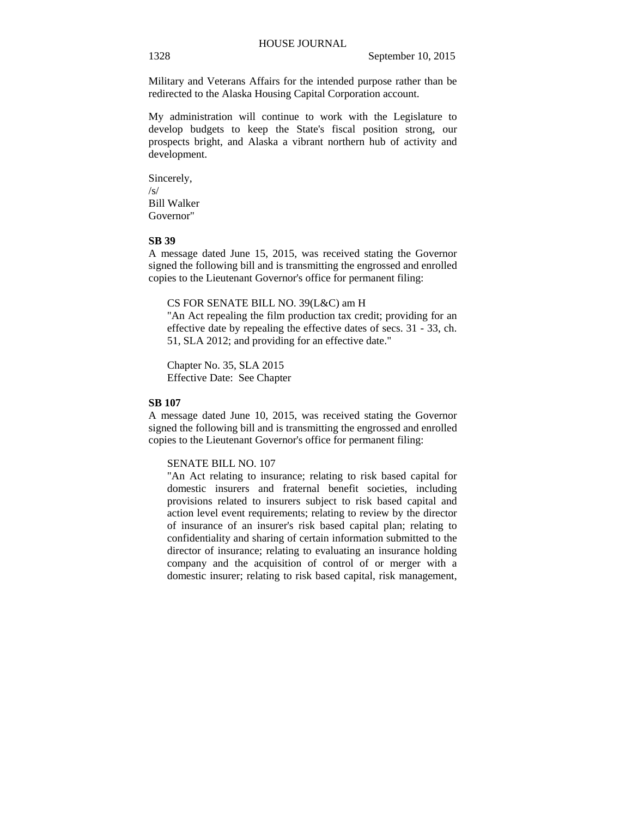Military and Veterans Affairs for the intended purpose rather than be redirected to the Alaska Housing Capital Corporation account.

My administration will continue to work with the Legislature to develop budgets to keep the State's fiscal position strong, our prospects bright, and Alaska a vibrant northern hub of activity and development.

Sincerely,  $/s/$ Bill Walker Governor"

### **SB 39**

A message dated June 15, 2015, was received stating the Governor signed the following bill and is transmitting the engrossed and enrolled copies to the Lieutenant Governor's office for permanent filing:

### CS FOR SENATE BILL NO. 39(L&C) am H

"An Act repealing the film production tax credit; providing for an effective date by repealing the effective dates of secs. 31 - 33, ch. 51, SLA 2012; and providing for an effective date."

Chapter No. 35, SLA 2015 Effective Date: See Chapter

## **SB 107**

A message dated June 10, 2015, was received stating the Governor signed the following bill and is transmitting the engrossed and enrolled copies to the Lieutenant Governor's office for permanent filing:

### SENATE BILL NO. 107

"An Act relating to insurance; relating to risk based capital for domestic insurers and fraternal benefit societies, including provisions related to insurers subject to risk based capital and action level event requirements; relating to review by the director of insurance of an insurer's risk based capital plan; relating to confidentiality and sharing of certain information submitted to the director of insurance; relating to evaluating an insurance holding company and the acquisition of control of or merger with a domestic insurer; relating to risk based capital, risk management,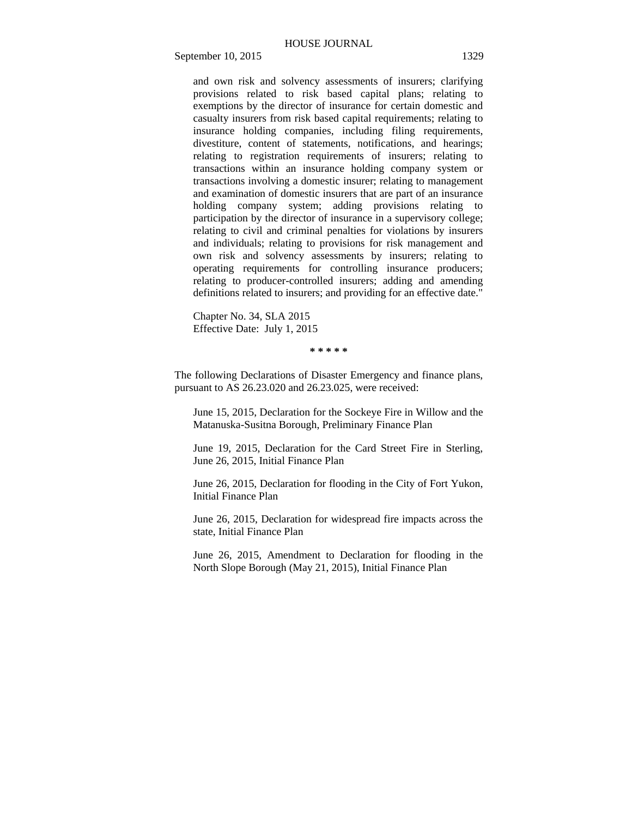and own risk and solvency assessments of insurers; clarifying provisions related to risk based capital plans; relating to exemptions by the director of insurance for certain domestic and casualty insurers from risk based capital requirements; relating to insurance holding companies, including filing requirements, divestiture, content of statements, notifications, and hearings; relating to registration requirements of insurers; relating to transactions within an insurance holding company system or transactions involving a domestic insurer; relating to management and examination of domestic insurers that are part of an insurance holding company system; adding provisions relating to participation by the director of insurance in a supervisory college; relating to civil and criminal penalties for violations by insurers and individuals; relating to provisions for risk management and own risk and solvency assessments by insurers; relating to operating requirements for controlling insurance producers; relating to producer-controlled insurers; adding and amending definitions related to insurers; and providing for an effective date."

Chapter No. 34, SLA 2015 Effective Date: July 1, 2015

**\* \* \* \* \*** 

The following Declarations of Disaster Emergency and finance plans, pursuant to AS 26.23.020 and 26.23.025, were received:

June 15, 2015, Declaration for the Sockeye Fire in Willow and the Matanuska-Susitna Borough, Preliminary Finance Plan

June 19, 2015, Declaration for the Card Street Fire in Sterling, June 26, 2015, Initial Finance Plan

June 26, 2015, Declaration for flooding in the City of Fort Yukon, Initial Finance Plan

June 26, 2015, Declaration for widespread fire impacts across the state, Initial Finance Plan

June 26, 2015, Amendment to Declaration for flooding in the North Slope Borough (May 21, 2015), Initial Finance Plan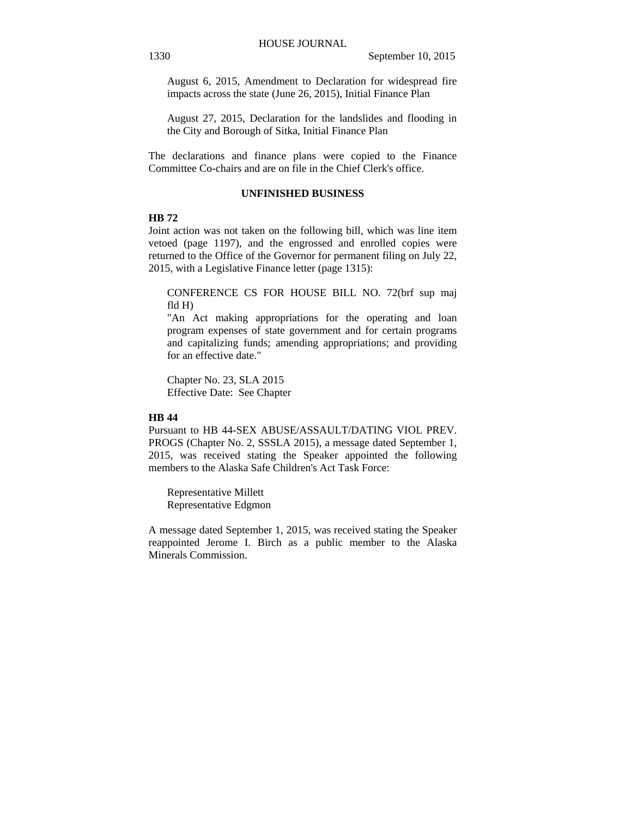August 6, 2015, Amendment to Declaration for widespread fire impacts across the state (June 26, 2015), Initial Finance Plan

August 27, 2015, Declaration for the landslides and flooding in the City and Borough of Sitka, Initial Finance Plan

The declarations and finance plans were copied to the Finance Committee Co-chairs and are on file in the Chief Clerk's office.

## **UNFINISHED BUSINESS**

## **HB 72**

Joint action was not taken on the following bill, which was line item vetoed (page 1197), and the engrossed and enrolled copies were returned to the Office of the Governor for permanent filing on July 22, 2015, with a Legislative Finance letter (page 1315):

CONFERENCE CS FOR HOUSE BILL NO. 72(brf sup maj fld H)

"An Act making appropriations for the operating and loan program expenses of state government and for certain programs and capitalizing funds; amending appropriations; and providing for an effective date."

Chapter No. 23, SLA 2015 Effective Date: See Chapter

#### **HB 44**

Pursuant to HB 44-SEX ABUSE/ASSAULT/DATING VIOL PREV. PROGS (Chapter No. 2, SSSLA 2015), a message dated September 1, 2015, was received stating the Speaker appointed the following members to the Alaska Safe Children's Act Task Force:

Representative Millett Representative Edgmon

A message dated September 1, 2015, was received stating the Speaker reappointed Jerome I. Birch as a public member to the Alaska Minerals Commission.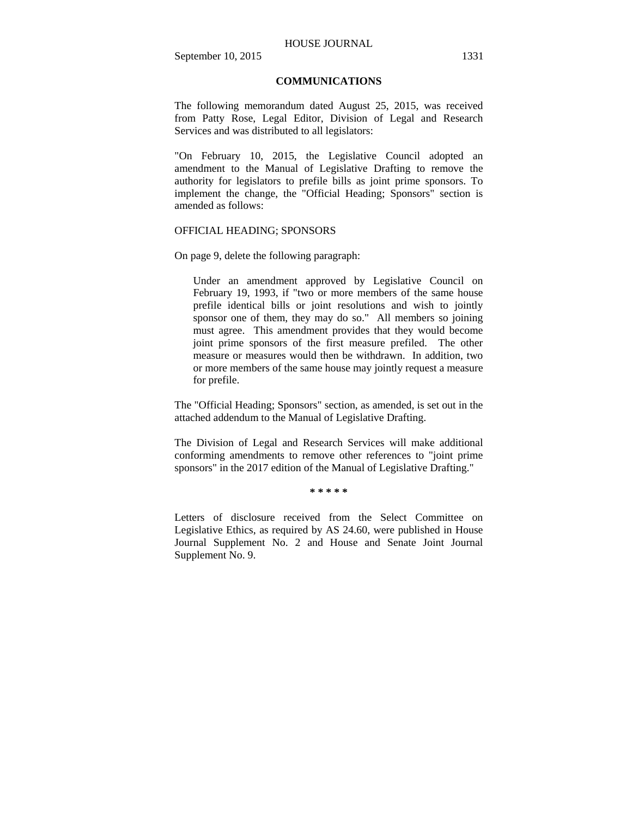## **COMMUNICATIONS**

The following memorandum dated August 25, 2015, was received from Patty Rose, Legal Editor, Division of Legal and Research Services and was distributed to all legislators:

"On February 10, 2015, the Legislative Council adopted an amendment to the Manual of Legislative Drafting to remove the authority for legislators to prefile bills as joint prime sponsors. To implement the change, the "Official Heading; Sponsors" section is amended as follows:

### OFFICIAL HEADING; SPONSORS

On page 9, delete the following paragraph:

Under an amendment approved by Legislative Council on February 19, 1993, if "two or more members of the same house prefile identical bills or joint resolutions and wish to jointly sponsor one of them, they may do so." All members so joining must agree. This amendment provides that they would become joint prime sponsors of the first measure prefiled. The other measure or measures would then be withdrawn. In addition, two or more members of the same house may jointly request a measure for prefile.

The "Official Heading; Sponsors" section, as amended, is set out in the attached addendum to the Manual of Legislative Drafting.

The Division of Legal and Research Services will make additional conforming amendments to remove other references to "joint prime sponsors" in the 2017 edition of the Manual of Legislative Drafting."

**\* \* \* \* \*** 

Letters of disclosure received from the Select Committee on Legislative Ethics, as required by AS 24.60, were published in House Journal Supplement No. 2 and House and Senate Joint Journal Supplement No. 9.